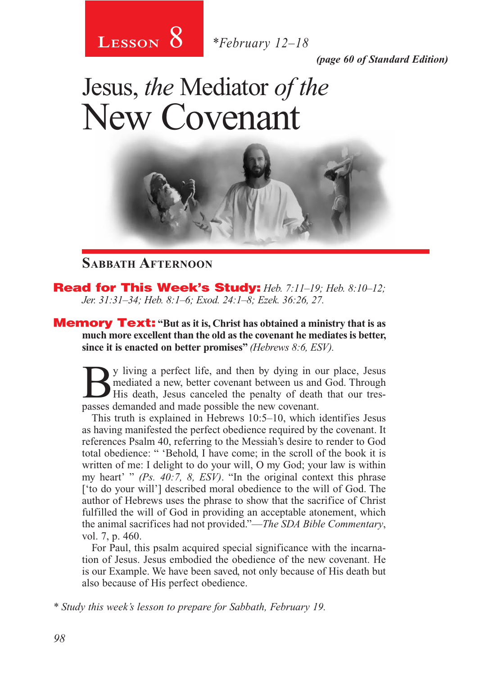

*(page 60 of Standard Edition)*

# Jesus, *the* Mediator *of the* New Covenant



#### **Sabbath Afternoon**

Read for This Week's Study: *Heb. 7:11–19; Heb. 8:10–12; Jer. 31:31–34; Heb. 8:1–6; Exod. 24:1–8; Ezek. 36:26, 27.*

**Memory Text:** "But as it is, Christ has obtained a ministry that is as **much more excellent than the old as the covenant he mediates is better, since it is enacted on better promises"** *(Hebrews 8:6, ESV).*

By living a perfect life, and then by dying in our place, Jesus<br>mediated a new, better covenant between us and God. Through<br>His death, Jesus canceled the penalty of death that our tres-<br>passes demanded and made possible th mediated a new, better covenant between us and God. Through His death, Jesus canceled the penalty of death that our trespasses demanded and made possible the new covenant.

This truth is explained in Hebrews 10:5–10, which identifies Jesus as having manifested the perfect obedience required by the covenant. It references Psalm 40, referring to the Messiah's desire to render to God total obedience: " 'Behold, I have come; in the scroll of the book it is written of me: I delight to do your will, O my God; your law is within my heart' " *(Ps. 40:7, 8, ESV)*. "In the original context this phrase ['to do your will'] described moral obedience to the will of God. The author of Hebrews uses the phrase to show that the sacrifice of Christ fulfilled the will of God in providing an acceptable atonement, which the animal sacrifices had not provided."—*The SDA Bible Commentary*, vol. 7, p. 460.

For Paul, this psalm acquired special significance with the incarnation of Jesus. Jesus embodied the obedience of the new covenant. He is our Example. We have been saved, not only because of His death but also because of His perfect obedience.

*\* Study this week's lesson to prepare for Sabbath, February 19.*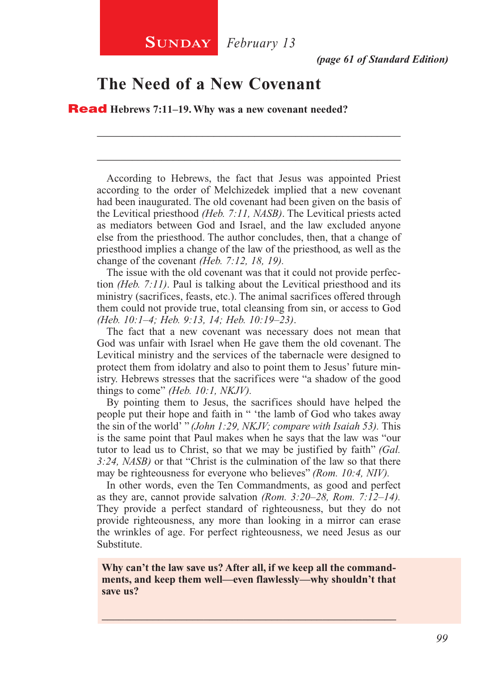*(page 61 of Standard Edition)*

#### **The Need of a New Covenant**

Read **Hebrews 7:11–19. Why was a new covenant needed?**

According to Hebrews, the fact that Jesus was appointed Priest according to the order of Melchizedek implied that a new covenant had been inaugurated. The old covenant had been given on the basis of the Levitical priesthood *(Heb. 7:11, NASB)*. The Levitical priests acted as mediators between God and Israel, and the law excluded anyone else from the priesthood. The author concludes, then, that a change of priesthood implies a change of the law of the priesthood, as well as the change of the covenant *(Heb. 7:12, 18, 19).*

\_\_\_\_\_\_\_\_\_\_\_\_\_\_\_\_\_\_\_\_\_\_\_\_\_\_\_\_\_\_\_\_\_\_\_\_\_\_\_\_\_\_\_\_\_\_\_\_\_\_\_\_

\_\_\_\_\_\_\_\_\_\_\_\_\_\_\_\_\_\_\_\_\_\_\_\_\_\_\_\_\_\_\_\_\_\_\_\_\_\_\_\_\_\_\_\_\_\_\_\_\_\_\_\_

The issue with the old covenant was that it could not provide perfection *(Heb. 7:11)*. Paul is talking about the Levitical priesthood and its ministry (sacrifices, feasts, etc.). The animal sacrifices offered through them could not provide true, total cleansing from sin, or access to God *(Heb. 10:1–4; Heb. 9:13, 14; Heb. 10:19–23)*.

The fact that a new covenant was necessary does not mean that God was unfair with Israel when He gave them the old covenant. The Levitical ministry and the services of the tabernacle were designed to protect them from idolatry and also to point them to Jesus' future ministry. Hebrews stresses that the sacrifices were "a shadow of the good things to come" *(Heb. 10:1, NKJV).*

By pointing them to Jesus, the sacrifices should have helped the people put their hope and faith in " 'the lamb of God who takes away the sin of the world' " *(John 1:29, NKJV; compare with Isaiah 53).* This is the same point that Paul makes when he says that the law was "our tutor to lead us to Christ, so that we may be justified by faith" *(Gal. 3:24, NASB)* or that "Christ is the culmination of the law so that there may be righteousness for everyone who believes" *(Rom. 10:4, NIV).*

In other words, even the Ten Commandments, as good and perfect as they are, cannot provide salvation *(Rom. 3:20–28, Rom. 7:12–14).*  They provide a perfect standard of righteousness, but they do not provide righteousness, any more than looking in a mirror can erase the wrinkles of age. For perfect righteousness, we need Jesus as our Substitute.

**Why can't the law save us? After all, if we keep all the commandments, and keep them well—even flawlessly—why shouldn't that save us?**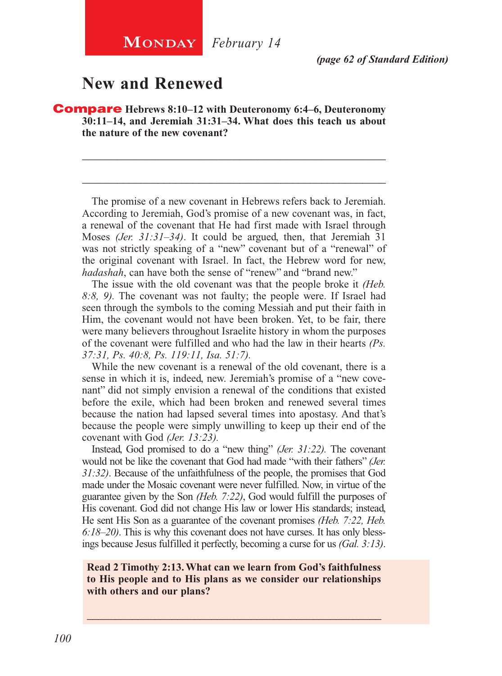**MONDAY** *February* 14

*(page 62 of Standard Edition)*

### **New and Renewed**

Compare **Hebrews 8:10–12 with Deuteronomy 6:4–6, Deuteronomy 30:11–14, and Jeremiah 31:31–34. What does this teach us about the nature of the new covenant?**

The promise of a new covenant in Hebrews refers back to Jeremiah. According to Jeremiah, God's promise of a new covenant was, in fact, a renewal of the covenant that He had first made with Israel through Moses *(Jer. 31:31–34)*. It could be argued, then, that Jeremiah 31 was not strictly speaking of a "new" covenant but of a "renewal" of the original covenant with Israel. In fact, the Hebrew word for new, *hadashah*, can have both the sense of "renew" and "brand new."

\_\_\_\_\_\_\_\_\_\_\_\_\_\_\_\_\_\_\_\_\_\_\_\_\_\_\_\_\_\_\_\_\_\_\_\_\_\_\_\_\_\_\_\_\_\_\_\_\_\_\_\_

\_\_\_\_\_\_\_\_\_\_\_\_\_\_\_\_\_\_\_\_\_\_\_\_\_\_\_\_\_\_\_\_\_\_\_\_\_\_\_\_\_\_\_\_\_\_\_\_\_\_\_\_

The issue with the old covenant was that the people broke it *(Heb. 8:8, 9).* The covenant was not faulty; the people were. If Israel had seen through the symbols to the coming Messiah and put their faith in Him, the covenant would not have been broken. Yet, to be fair, there were many believers throughout Israelite history in whom the purposes of the covenant were fulfilled and who had the law in their hearts *(Ps. 37:31, Ps. 40:8, Ps. 119:11, Isa. 51:7).*

While the new covenant is a renewal of the old covenant, there is a sense in which it is, indeed, new. Jeremiah's promise of a "new covenant" did not simply envision a renewal of the conditions that existed before the exile, which had been broken and renewed several times because the nation had lapsed several times into apostasy. And that's because the people were simply unwilling to keep up their end of the covenant with God *(Jer. 13:23).*

Instead, God promised to do a "new thing" *(Jer. 31:22).* The covenant would not be like the covenant that God had made "with their fathers" *(Jer. 31:32)*. Because of the unfaithfulness of the people, the promises that God made under the Mosaic covenant were never fulfilled. Now, in virtue of the guarantee given by the Son *(Heb. 7:22)*, God would fulfill the purposes of His covenant. God did not change His law or lower His standards; instead, He sent His Son as a guarantee of the covenant promises *(Heb. 7:22, Heb. 6:18–20)*. This is why this covenant does not have curses. It has only blessings because Jesus fulfilled it perfectly, becoming a curse for us *(Gal. 3:13)*.

#### **Read 2 Timothy 2:13. What can we learn from God's faithfulness to His people and to His plans as we consider our relationships with others and our plans?**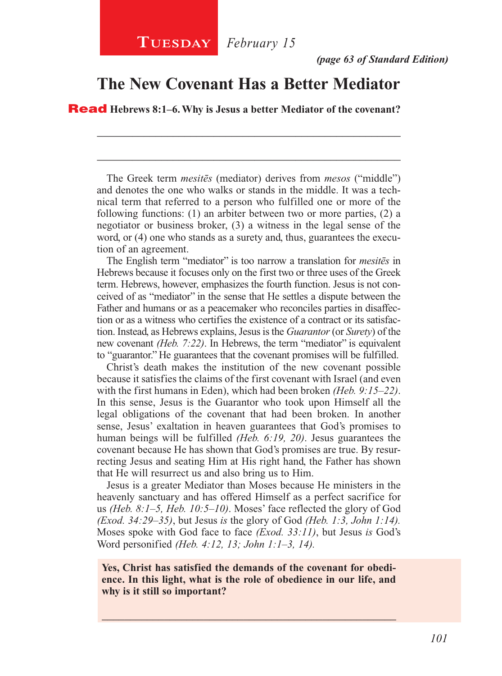#### **The New Covenant Has a Better Mediator**

\_\_\_\_\_\_\_\_\_\_\_\_\_\_\_\_\_\_\_\_\_\_\_\_\_\_\_\_\_\_\_\_\_\_\_\_\_\_\_\_\_\_\_\_\_\_\_\_\_\_\_\_

\_\_\_\_\_\_\_\_\_\_\_\_\_\_\_\_\_\_\_\_\_\_\_\_\_\_\_\_\_\_\_\_\_\_\_\_\_\_\_\_\_\_\_\_\_\_\_\_\_\_\_\_

Read **Hebrews 8:1–6. Why is Jesus a better Mediator of the covenant?**

The Greek term *mesitēs* (mediator) derives from *mesos* ("middle") and denotes the one who walks or stands in the middle. It was a technical term that referred to a person who fulfilled one or more of the following functions: (1) an arbiter between two or more parties, (2) a negotiator or business broker, (3) a witness in the legal sense of the word, or (4) one who stands as a surety and, thus, guarantees the execution of an agreement.

The English term "mediator" is too narrow a translation for *mesitēs* in Hebrews because it focuses only on the first two or three uses of the Greek term. Hebrews, however, emphasizes the fourth function. Jesus is not conceived of as "mediator" in the sense that He settles a dispute between the Father and humans or as a peacemaker who reconciles parties in disaffection or as a witness who certifies the existence of a contract or its satisfaction. Instead, as Hebrews explains, Jesus is the *Guarantor* (or *Surety*) of the new covenant *(Heb. 7:22)*. In Hebrews, the term "mediator" is equivalent to "guarantor." He guarantees that the covenant promises will be fulfilled.

Christ's death makes the institution of the new covenant possible because it satisfies the claims of the first covenant with Israel (and even with the first humans in Eden), which had been broken *(Heb. 9:15–22)*. In this sense, Jesus is the Guarantor who took upon Himself all the legal obligations of the covenant that had been broken. In another sense, Jesus' exaltation in heaven guarantees that God's promises to human beings will be fulfilled *(Heb. 6:19, 20)*. Jesus guarantees the covenant because He has shown that God's promises are true. By resurrecting Jesus and seating Him at His right hand, the Father has shown that He will resurrect us and also bring us to Him.

Jesus is a greater Mediator than Moses because He ministers in the heavenly sanctuary and has offered Himself as a perfect sacrifice for us *(Heb. 8:1–5, Heb. 10:5–10)*. Moses' face reflected the glory of God *(Exod. 34:29–35)*, but Jesus *is* the glory of God *(Heb. 1:3, John 1:14).*  Moses spoke with God face to face *(Exod. 33:11)*, but Jesus *is* God's Word personified *(Heb. 4:12, 13; John 1:1–3, 14).*

**Yes, Christ has satisfied the demands of the covenant for obedience. In this light, what is the role of obedience in our life, and why is it still so important?**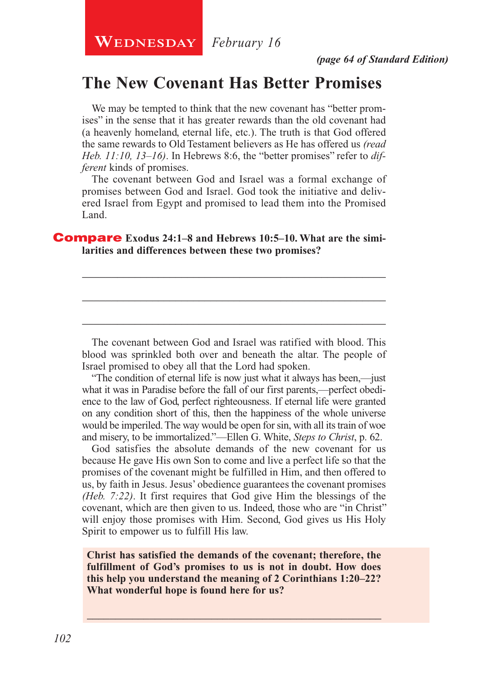**WEDNESDAY** February 16

#### **The New Covenant Has Better Promises**

We may be tempted to think that the new covenant has "better promises" in the sense that it has greater rewards than the old covenant had (a heavenly homeland, eternal life, etc.). The truth is that God offered the same rewards to Old Testament believers as He has offered us *(read Heb. 11:10, 13–16)*. In Hebrews 8:6, the "better promises" refer to *different* kinds of promises.

The covenant between God and Israel was a formal exchange of promises between God and Israel. God took the initiative and delivered Israel from Egypt and promised to lead them into the Promised Land.

\_\_\_\_\_\_\_\_\_\_\_\_\_\_\_\_\_\_\_\_\_\_\_\_\_\_\_\_\_\_\_\_\_\_\_\_\_\_\_\_\_\_\_\_\_\_\_\_\_\_\_\_

\_\_\_\_\_\_\_\_\_\_\_\_\_\_\_\_\_\_\_\_\_\_\_\_\_\_\_\_\_\_\_\_\_\_\_\_\_\_\_\_\_\_\_\_\_\_\_\_\_\_\_\_

\_\_\_\_\_\_\_\_\_\_\_\_\_\_\_\_\_\_\_\_\_\_\_\_\_\_\_\_\_\_\_\_\_\_\_\_\_\_\_\_\_\_\_\_\_\_\_\_\_\_\_\_

#### **Compare** Exodus 24:1–8 and Hebrews 10:5–10. What are the simi**larities and differences between these two promises?**

The covenant between God and Israel was ratified with blood. This blood was sprinkled both over and beneath the altar. The people of Israel promised to obey all that the Lord had spoken.

"The condition of eternal life is now just what it always has been,—just what it was in Paradise before the fall of our first parents,—perfect obedience to the law of God, perfect righteousness. If eternal life were granted on any condition short of this, then the happiness of the whole universe would be imperiled. The way would be open for sin, with all its train of woe and misery, to be immortalized."—Ellen G. White, *Steps to Christ*, p. 62.

God satisfies the absolute demands of the new covenant for us because He gave His own Son to come and live a perfect life so that the promises of the covenant might be fulfilled in Him, and then offered to us, by faith in Jesus. Jesus' obedience guarantees the covenant promises *(Heb. 7:22)*. It first requires that God give Him the blessings of the covenant, which are then given to us. Indeed, those who are "in Christ" will enjoy those promises with Him. Second, God gives us His Holy Spirit to empower us to fulfill His law.

**Christ has satisfied the demands of the covenant; therefore, the fulfillment of God's promises to us is not in doubt. How does this help you understand the meaning of 2 Corinthians 1:20–22? What wonderful hope is found here for us?**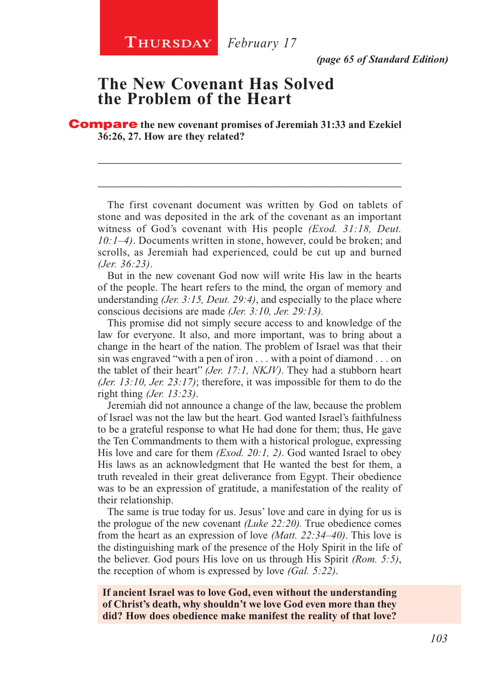*(page 65 of Standard Edition)*

#### **The New Covenant Has Solved the Problem of the Heart**

Compare **the new covenant promises of Jeremiah 31:33 and Ezekiel 36:26, 27. How are they related?**

The first covenant document was written by God on tablets of stone and was deposited in the ark of the covenant as an important witness of God's covenant with His people *(Exod. 31:18, Deut. 10:1–4)*. Documents written in stone, however, could be broken; and scrolls, as Jeremiah had experienced, could be cut up and burned *(Jer. 36:23)*.

\_\_\_\_\_\_\_\_\_\_\_\_\_\_\_\_\_\_\_\_\_\_\_\_\_\_\_\_\_\_\_\_\_\_\_\_\_\_\_\_\_\_\_\_\_\_\_\_\_\_\_\_

\_\_\_\_\_\_\_\_\_\_\_\_\_\_\_\_\_\_\_\_\_\_\_\_\_\_\_\_\_\_\_\_\_\_\_\_\_\_\_\_\_\_\_\_\_\_\_\_\_\_\_\_

But in the new covenant God now will write His law in the hearts of the people. The heart refers to the mind, the organ of memory and understanding *(Jer. 3:15, Deut. 29:4)*, and especially to the place where conscious decisions are made *(Jer. 3:10, Jer. 29:13).*

This promise did not simply secure access to and knowledge of the law for everyone. It also, and more important, was to bring about a change in the heart of the nation. The problem of Israel was that their sin was engraved "with a pen of iron . . . with a point of diamond . . . on the tablet of their heart" *(Jer. 17:1, NKJV)*. They had a stubborn heart *(Jer. 13:10, Jer. 23:17)*; therefore, it was impossible for them to do the right thing *(Jer. 13:23)*.

Jeremiah did not announce a change of the law, because the problem of Israel was not the law but the heart. God wanted Israel's faithfulness to be a grateful response to what He had done for them; thus, He gave the Ten Commandments to them with a historical prologue, expressing His love and care for them *(Exod. 20:1, 2)*. God wanted Israel to obey His laws as an acknowledgment that He wanted the best for them, a truth revealed in their great deliverance from Egypt. Their obedience was to be an expression of gratitude, a manifestation of the reality of their relationship.

The same is true today for us. Jesus' love and care in dying for us is the prologue of the new covenant *(Luke 22:20).* True obedience comes from the heart as an expression of love *(Matt. 22:34–40)*. This love is the distinguishing mark of the presence of the Holy Spirit in the life of the believer. God pours His love on us through His Spirit *(Rom. 5:5)*, the reception of whom is expressed by love *(Gal. 5:22)*.

**If ancient Israel was to love God, even without the understanding of Christ's death, why shouldn't we love God even more than they did? How does obedience make manifest the reality of that love?**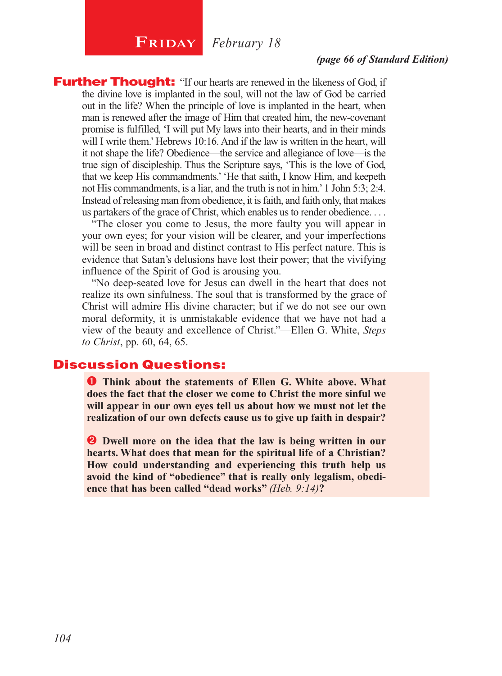## **FRIDAY February** 18

*(page 66 of Standard Edition)*

**Further Thought:** "If our hearts are renewed in the likeness of God, if the divine love is implanted in the soul, will not the law of God be carried out in the life? When the principle of love is implanted in the heart, when man is renewed after the image of Him that created him, the new-covenant promise is fulfilled, 'I will put My laws into their hearts, and in their minds will I write them.' Hebrews 10:16. And if the law is written in the heart, will it not shape the life? Obedience—the service and allegiance of love—is the true sign of discipleship. Thus the Scripture says, 'This is the love of God, that we keep His commandments.' 'He that saith, I know Him, and keepeth not His commandments, is a liar, and the truth is not in him.' 1 John 5:3; 2:4. Instead of releasing man from obedience, it is faith, and faith only, that makes us partakers of the grace of Christ, which enables us to render obedience. . . .

"The closer you come to Jesus, the more faulty you will appear in your own eyes; for your vision will be clearer, and your imperfections will be seen in broad and distinct contrast to His perfect nature. This is evidence that Satan's delusions have lost their power; that the vivifying influence of the Spirit of God is arousing you.

"No deep-seated love for Jesus can dwell in the heart that does not realize its own sinfulness. The soul that is transformed by the grace of Christ will admire His divine character; but if we do not see our own moral deformity, it is unmistakable evidence that we have not had a view of the beauty and excellence of Christ."—Ellen G. White, *Steps to Christ*, pp. 60, 64, 65.

#### Discussion Questions:

 **Think about the statements of Ellen G. White above. What does the fact that the closer we come to Christ the more sinful we will appear in our own eyes tell us about how we must not let the realization of our own defects cause us to give up faith in despair?**

**2** Dwell more on the idea that the law is being written in our **hearts. What does that mean for the spiritual life of a Christian? How could understanding and experiencing this truth help us avoid the kind of "obedience" that is really only legalism, obedience that has been called "dead works"** *(Heb. 9:14)***?**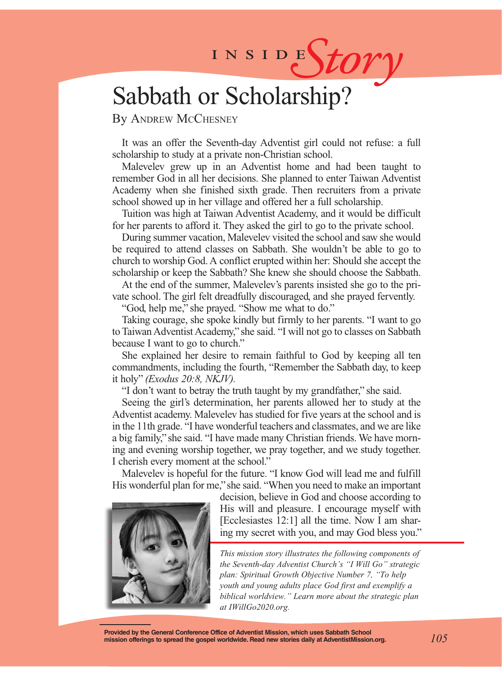# INSIDES*tory*

# Sabbath or Scholarship?

By ANDREW MCCHESNEY

It was an offer the Seventh-day Adventist girl could not refuse: a full scholarship to study at a private non-Christian school.

Malevelev grew up in an Adventist home and had been taught to remember God in all her decisions. She planned to enter Taiwan Adventist Academy when she finished sixth grade. Then recruiters from a private school showed up in her village and offered her a full scholarship.

Tuition was high at Taiwan Adventist Academy, and it would be difficult for her parents to afford it. They asked the girl to go to the private school.

During summer vacation, Malevelev visited the school and saw she would be required to attend classes on Sabbath. She wouldn't be able to go to church to worship God. A conflict erupted within her: Should she accept the scholarship or keep the Sabbath? She knew she should choose the Sabbath.

At the end of the summer, Malevelev's parents insisted she go to the private school. The girl felt dreadfully discouraged, and she prayed fervently.

"God, help me," she prayed. "Show me what to do."

Taking courage, she spoke kindly but firmly to her parents. "I want to go to Taiwan Adventist Academy," she said. "I will not go to classes on Sabbath because I want to go to church."

She explained her desire to remain faithful to God by keeping all ten commandments, including the fourth, "Remember the Sabbath day, to keep it holy" *(Exodus 20:8, NKJV).*

"I don't want to betray the truth taught by my grandfather," she said.

Seeing the girl's determination, her parents allowed her to study at the Adventist academy. Malevelev has studied for five years at the school and is in the 11th grade. "I have wonderful teachers and classmates, and we are like a big family," she said. "I have made many Christian friends. We have morning and evening worship together, we pray together, and we study together. I cherish every moment at the school."

Malevelev is hopeful for the future. "I know God will lead me and fulfill His wonderful plan for me," she said. "When you need to make an important



decision, believe in God and choose according to His will and pleasure. I encourage myself with [Ecclesiastes 12:1] all the time. Now I am sharing my secret with you, and may God bless you."

*This mission story illustrates the following components of the Seventh-day Adventist Church's "I Will Go" strategic plan: Spiritual Growth Objective Number 7, "To help youth and young adults place God first and exemplify a biblical worldview." Learn more about the strategic plan at IWillGo2020.org.*

**Provided by the General Conference Office of Adventist Mission, which uses Sabbath School mission offerings to spread the gospel worldwide. Read new stories daily at AdventistMission.org.**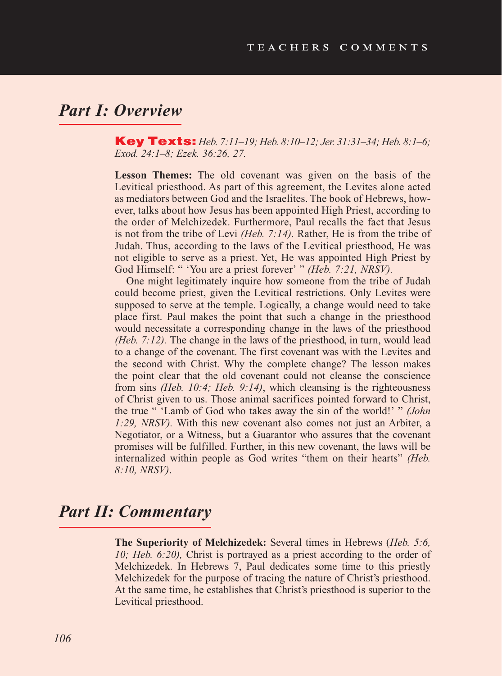## *Part I: Overview*

Key Texts: *Heb. 7:11–19; Heb. 8:10–12; Jer. 31:31–34; Heb. 8:1–6; Exod. 24:1–8; Ezek. 36:26, 27.*

**Lesson Themes:** The old covenant was given on the basis of the Levitical priesthood. As part of this agreement, the Levites alone acted as mediators between God and the Israelites. The book of Hebrews, however, talks about how Jesus has been appointed High Priest, according to the order of Melchizedek. Furthermore, Paul recalls the fact that Jesus is not from the tribe of Levi *(Heb. 7:14).* Rather, He is from the tribe of Judah. Thus, according to the laws of the Levitical priesthood, He was not eligible to serve as a priest. Yet, He was appointed High Priest by God Himself: " 'You are a priest forever' " *(Heb. 7:21, NRSV).* 

One might legitimately inquire how someone from the tribe of Judah could become priest, given the Levitical restrictions. Only Levites were supposed to serve at the temple. Logically, a change would need to take place first. Paul makes the point that such a change in the priesthood would necessitate a corresponding change in the laws of the priesthood *(Heb. 7:12).* The change in the laws of the priesthood, in turn, would lead to a change of the covenant. The first covenant was with the Levites and the second with Christ. Why the complete change? The lesson makes the point clear that the old covenant could not cleanse the conscience from sins *(Heb. 10:4; Heb. 9:14)*, which cleansing is the righteousness of Christ given to us. Those animal sacrifices pointed forward to Christ, the true " 'Lamb of God who takes away the sin of the world!' " *(John 1:29, NRSV).* With this new covenant also comes not just an Arbiter, a Negotiator, or a Witness, but a Guarantor who assures that the covenant promises will be fulfilled. Further, in this new covenant, the laws will be internalized within people as God writes "them on their hearts" *(Heb. 8:10, NRSV)*.

#### *Part II: Commentary*

**The Superiority of Melchizedek:** Several times in Hebrews (*Heb. 5:6, 10; Heb. 6:20),* Christ is portrayed as a priest according to the order of Melchizedek. In Hebrews 7, Paul dedicates some time to this priestly Melchizedek for the purpose of tracing the nature of Christ's priesthood. At the same time, he establishes that Christ's priesthood is superior to the Levitical priesthood.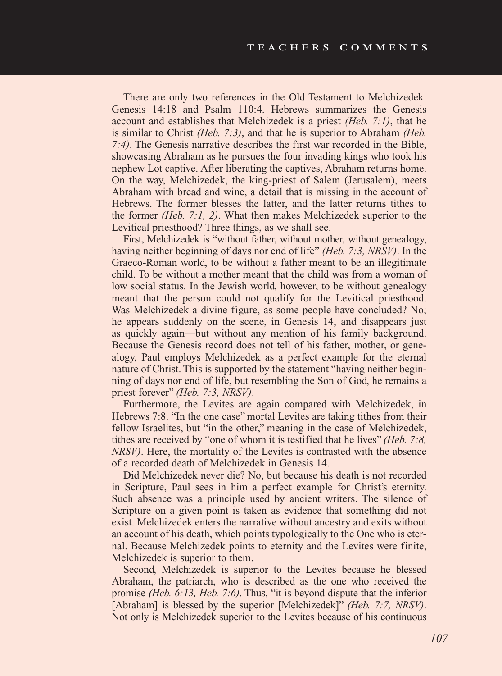There are only two references in the Old Testament to Melchizedek: Genesis 14:18 and Psalm 110:4. Hebrews summarizes the Genesis account and establishes that Melchizedek is a priest *(Heb. 7:1)*, that he is similar to Christ *(Heb. 7:3)*, and that he is superior to Abraham *(Heb. 7:4)*. The Genesis narrative describes the first war recorded in the Bible, showcasing Abraham as he pursues the four invading kings who took his nephew Lot captive. After liberating the captives, Abraham returns home. On the way, Melchizedek, the king-priest of Salem (Jerusalem), meets Abraham with bread and wine, a detail that is missing in the account of Hebrews. The former blesses the latter, and the latter returns tithes to the former *(Heb. 7:1, 2)*. What then makes Melchizedek superior to the Levitical priesthood? Three things, as we shall see.

First, Melchizedek is "without father, without mother, without genealogy, having neither beginning of days nor end of life" *(Heb. 7:3, NRSV)*. In the Graeco-Roman world, to be without a father meant to be an illegitimate child. To be without a mother meant that the child was from a woman of low social status. In the Jewish world, however, to be without genealogy meant that the person could not qualify for the Levitical priesthood. Was Melchizedek a divine figure, as some people have concluded? No; he appears suddenly on the scene, in Genesis 14, and disappears just as quickly again—but without any mention of his family background. Because the Genesis record does not tell of his father, mother, or genealogy, Paul employs Melchizedek as a perfect example for the eternal nature of Christ. This is supported by the statement "having neither beginning of days nor end of life, but resembling the Son of God, he remains a priest forever" *(Heb. 7:3, NRSV)*.

Furthermore, the Levites are again compared with Melchizedek, in Hebrews 7:8. "In the one case" mortal Levites are taking tithes from their fellow Israelites, but "in the other," meaning in the case of Melchizedek, tithes are received by "one of whom it is testified that he lives" *(Heb. 7:8, NRSV)*. Here, the mortality of the Levites is contrasted with the absence of a recorded death of Melchizedek in Genesis 14.

Did Melchizedek never die? No, but because his death is not recorded in Scripture, Paul sees in him a perfect example for Christ's eternity. Such absence was a principle used by ancient writers. The silence of Scripture on a given point is taken as evidence that something did not exist. Melchizedek enters the narrative without ancestry and exits without an account of his death, which points typologically to the One who is eternal. Because Melchizedek points to eternity and the Levites were finite, Melchizedek is superior to them.

Second, Melchizedek is superior to the Levites because he blessed Abraham, the patriarch, who is described as the one who received the promise *(Heb. 6:13, Heb. 7:6)*. Thus, "it is beyond dispute that the inferior [Abraham] is blessed by the superior [Melchizedek]" *(Heb. 7:7, NRSV)*. Not only is Melchizedek superior to the Levites because of his continuous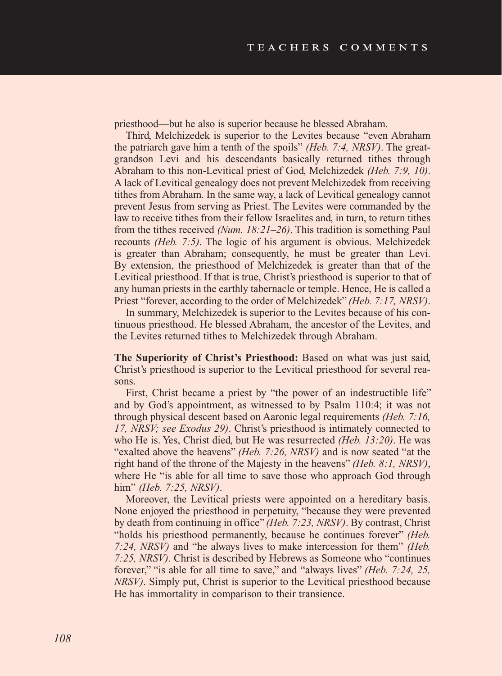priesthood—but he also is superior because he blessed Abraham.

Third, Melchizedek is superior to the Levites because "even Abraham the patriarch gave him a tenth of the spoils" *(Heb. 7:4, NRSV)*. The greatgrandson Levi and his descendants basically returned tithes through Abraham to this non-Levitical priest of God, Melchizedek *(Heb. 7:9, 10)*. A lack of Levitical genealogy does not prevent Melchizedek from receiving tithes from Abraham. In the same way, a lack of Levitical genealogy cannot prevent Jesus from serving as Priest. The Levites were commanded by the law to receive tithes from their fellow Israelites and, in turn, to return tithes from the tithes received *(Num. 18:21–26)*. This tradition is something Paul recounts *(Heb. 7:5)*. The logic of his argument is obvious. Melchizedek is greater than Abraham; consequently, he must be greater than Levi. By extension, the priesthood of Melchizedek is greater than that of the Levitical priesthood. If that is true, Christ's priesthood is superior to that of any human priests in the earthly tabernacle or temple. Hence, He is called a Priest "forever, according to the order of Melchizedek" *(Heb. 7:17, NRSV)*.

In summary, Melchizedek is superior to the Levites because of his continuous priesthood. He blessed Abraham, the ancestor of the Levites, and the Levites returned tithes to Melchizedek through Abraham.

**The Superiority of Christ's Priesthood:** Based on what was just said, Christ's priesthood is superior to the Levitical priesthood for several reasons.

First, Christ became a priest by "the power of an indestructible life" and by God's appointment, as witnessed to by Psalm 110:4; it was not through physical descent based on Aaronic legal requirements *(Heb. 7:16, 17, NRSV; see Exodus 29)*. Christ's priesthood is intimately connected to who He is. Yes, Christ died, but He was resurrected *(Heb. 13:20)*. He was "exalted above the heavens" *(Heb. 7:26, NRSV)* and is now seated "at the right hand of the throne of the Majesty in the heavens" *(Heb. 8:1, NRSV)*, where He "is able for all time to save those who approach God through him" *(Heb. 7:25, NRSV)*.

Moreover, the Levitical priests were appointed on a hereditary basis. None enjoyed the priesthood in perpetuity, "because they were prevented by death from continuing in office" *(Heb. 7:23, NRSV)*. By contrast, Christ "holds his priesthood permanently, because he continues forever" *(Heb. 7:24, NRSV)* and "he always lives to make intercession for them" *(Heb. 7:25, NRSV)*. Christ is described by Hebrews as Someone who "continues forever," "is able for all time to save," and "always lives" *(Heb. 7:24, 25, NRSV)*. Simply put, Christ is superior to the Levitical priesthood because He has immortality in comparison to their transience.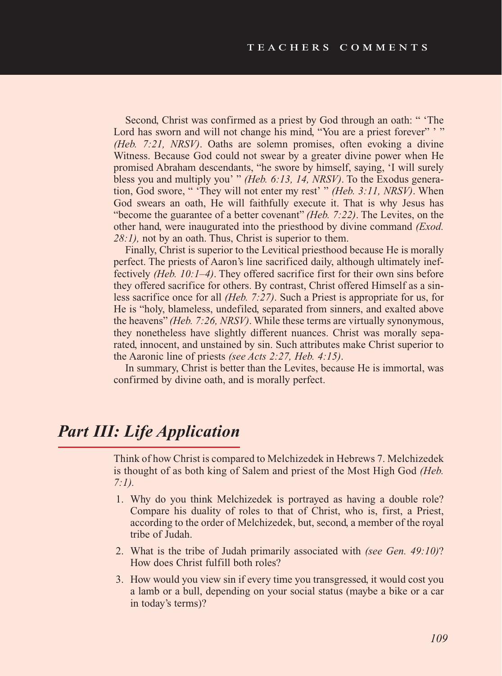Second, Christ was confirmed as a priest by God through an oath: " 'The Lord has sworn and will not change his mind, "You are a priest forever" '" *(Heb. 7:21, NRSV)*. Oaths are solemn promises, often evoking a divine Witness. Because God could not swear by a greater divine power when He promised Abraham descendants, "he swore by himself, saying, 'I will surely bless you and multiply you' " *(Heb. 6:13, 14, NRSV)*. To the Exodus generation, God swore, " 'They will not enter my rest' " *(Heb. 3:11, NRSV)*. When God swears an oath, He will faithfully execute it. That is why Jesus has "become the guarantee of a better covenant" *(Heb. 7:22)*. The Levites, on the other hand, were inaugurated into the priesthood by divine command *(Exod. 28:1),* not by an oath. Thus, Christ is superior to them.

Finally, Christ is superior to the Levitical priesthood because He is morally perfect. The priests of Aaron's line sacrificed daily, although ultimately ineffectively *(Heb. 10:1–4)*. They offered sacrifice first for their own sins before they offered sacrifice for others. By contrast, Christ offered Himself as a sinless sacrifice once for all *(Heb. 7:27)*. Such a Priest is appropriate for us, for He is "holy, blameless, undefiled, separated from sinners, and exalted above the heavens" *(Heb. 7:26, NRSV)*. While these terms are virtually synonymous, they nonetheless have slightly different nuances. Christ was morally separated, innocent, and unstained by sin. Such attributes make Christ superior to the Aaronic line of priests *(see Acts 2:27, Heb. 4:15)*.

In summary, Christ is better than the Levites, because He is immortal, was confirmed by divine oath, and is morally perfect.

### *Part III: Life Application*

Think of how Christ is compared to Melchizedek in Hebrews 7. Melchizedek is thought of as both king of Salem and priest of the Most High God *(Heb. 7:1).*

- 1. Why do you think Melchizedek is portrayed as having a double role? Compare his duality of roles to that of Christ, who is, first, a Priest, according to the order of Melchizedek, but, second, a member of the royal tribe of Judah.
- 2. What is the tribe of Judah primarily associated with *(see Gen. 49:10)*? How does Christ fulfill both roles?
- 3. How would you view sin if every time you transgressed, it would cost you a lamb or a bull, depending on your social status (maybe a bike or a car in today's terms)?